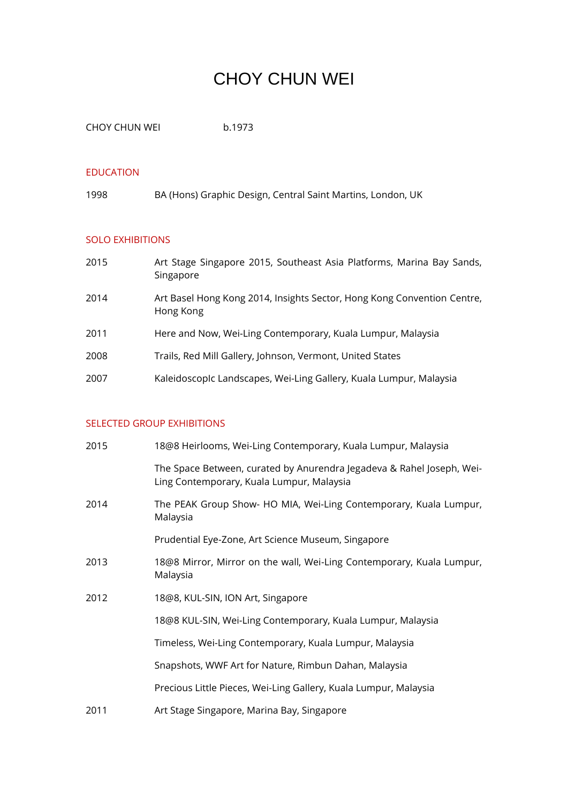# CHOY CHUN WEI

CHOY CHUN WEI b.1973

#### EDUCATION

1998 BA (Hons) Graphic Design, Central Saint Martins, London, UK

## SOLO EXHIBITIONS

| 2015 | Art Stage Singapore 2015, Southeast Asia Platforms, Marina Bay Sands,<br>Singapore   |
|------|--------------------------------------------------------------------------------------|
| 2014 | Art Basel Hong Kong 2014, Insights Sector, Hong Kong Convention Centre,<br>Hong Kong |
| 2011 | Here and Now, Wei-Ling Contemporary, Kuala Lumpur, Malaysia                          |
| 2008 | Trails, Red Mill Gallery, Johnson, Vermont, United States                            |
| 2007 | KaleidoscopIc Landscapes, Wei-Ling Gallery, Kuala Lumpur, Malaysia                   |

## SELECTED GROUP EXHIBITIONS

| 2015 | 18@8 Heirlooms, Wei-Ling Contemporary, Kuala Lumpur, Malaysia                                                      |
|------|--------------------------------------------------------------------------------------------------------------------|
|      | The Space Between, curated by Anurendra Jegadeva & Rahel Joseph, Wei-<br>Ling Contemporary, Kuala Lumpur, Malaysia |
| 2014 | The PEAK Group Show- HO MIA, Wei-Ling Contemporary, Kuala Lumpur,<br>Malaysia                                      |
|      | Prudential Eye-Zone, Art Science Museum, Singapore                                                                 |
| 2013 | 18@8 Mirror, Mirror on the wall, Wei-Ling Contemporary, Kuala Lumpur,<br>Malaysia                                  |
| 2012 | 18@8, KUL-SIN, ION Art, Singapore                                                                                  |
|      | 18@8 KUL-SIN, Wei-Ling Contemporary, Kuala Lumpur, Malaysia                                                        |
|      | Timeless, Wei-Ling Contemporary, Kuala Lumpur, Malaysia                                                            |
|      | Snapshots, WWF Art for Nature, Rimbun Dahan, Malaysia                                                              |
|      | Precious Little Pieces, Wei-Ling Gallery, Kuala Lumpur, Malaysia                                                   |
| 2011 | Art Stage Singapore, Marina Bay, Singapore                                                                         |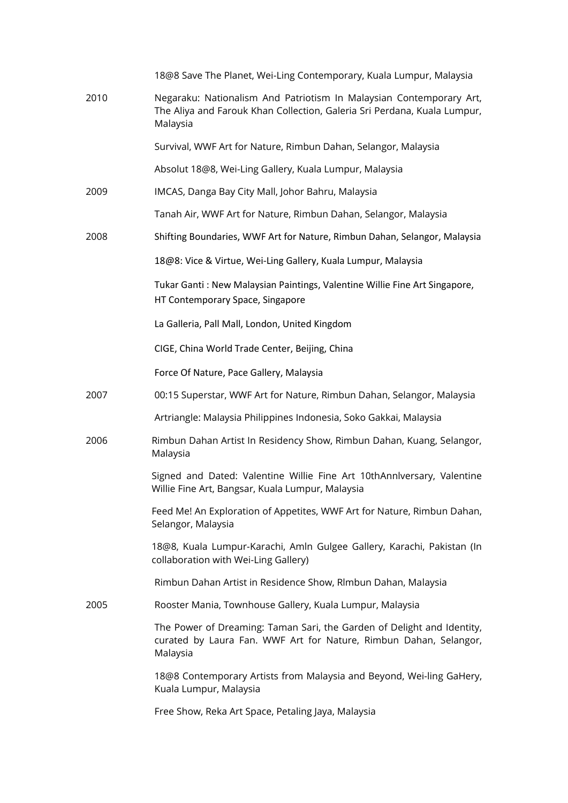|      | 18@8 Save The Planet, Wei-Ling Contemporary, Kuala Lumpur, Malaysia                                                                                         |
|------|-------------------------------------------------------------------------------------------------------------------------------------------------------------|
| 2010 | Negaraku: Nationalism And Patriotism In Malaysian Contemporary Art,<br>The Aliya and Farouk Khan Collection, Galeria Sri Perdana, Kuala Lumpur,<br>Malaysia |
|      | Survival, WWF Art for Nature, Rimbun Dahan, Selangor, Malaysia                                                                                              |
|      | Absolut 18@8, Wei-Ling Gallery, Kuala Lumpur, Malaysia                                                                                                      |
| 2009 | IMCAS, Danga Bay City Mall, Johor Bahru, Malaysia                                                                                                           |
|      | Tanah Air, WWF Art for Nature, Rimbun Dahan, Selangor, Malaysia                                                                                             |
| 2008 | Shifting Boundaries, WWF Art for Nature, Rimbun Dahan, Selangor, Malaysia                                                                                   |
|      | 18@8: Vice & Virtue, Wei-Ling Gallery, Kuala Lumpur, Malaysia                                                                                               |
|      | Tukar Ganti: New Malaysian Paintings, Valentine Willie Fine Art Singapore,<br>HT Contemporary Space, Singapore                                              |
|      | La Galleria, Pall Mall, London, United Kingdom                                                                                                              |
|      | CIGE, China World Trade Center, Beijing, China                                                                                                              |
|      | Force Of Nature, Pace Gallery, Malaysia                                                                                                                     |
| 2007 | 00:15 Superstar, WWF Art for Nature, Rimbun Dahan, Selangor, Malaysia                                                                                       |
|      | Artriangle: Malaysia Philippines Indonesia, Soko Gakkai, Malaysia                                                                                           |
| 2006 | Rimbun Dahan Artist In Residency Show, Rimbun Dahan, Kuang, Selangor,<br>Malaysia                                                                           |
|      | Signed and Dated: Valentine Willie Fine Art 10thAnnlversary, Valentine<br>Willie Fine Art, Bangsar, Kuala Lumpur, Malaysia                                  |
|      | Feed Me! An Exploration of Appetites, WWF Art for Nature, Rimbun Dahan,<br>Selangor, Malaysia                                                               |
|      | 18@8, Kuala Lumpur-Karachi, Amln Gulgee Gallery, Karachi, Pakistan (In<br>collaboration with Wei-Ling Gallery)                                              |
|      | Rimbun Dahan Artist in Residence Show, Rlmbun Dahan, Malaysia                                                                                               |
| 2005 | Rooster Mania, Townhouse Gallery, Kuala Lumpur, Malaysia                                                                                                    |
|      | The Power of Dreaming: Taman Sari, the Garden of Delight and Identity,<br>curated by Laura Fan. WWF Art for Nature, Rimbun Dahan, Selangor,<br>Malaysia     |
|      | 18@8 Contemporary Artists from Malaysia and Beyond, Wei-ling GaHery,<br>Kuala Lumpur, Malaysia                                                              |
|      | Free Show, Reka Art Space, Petaling Jaya, Malaysia                                                                                                          |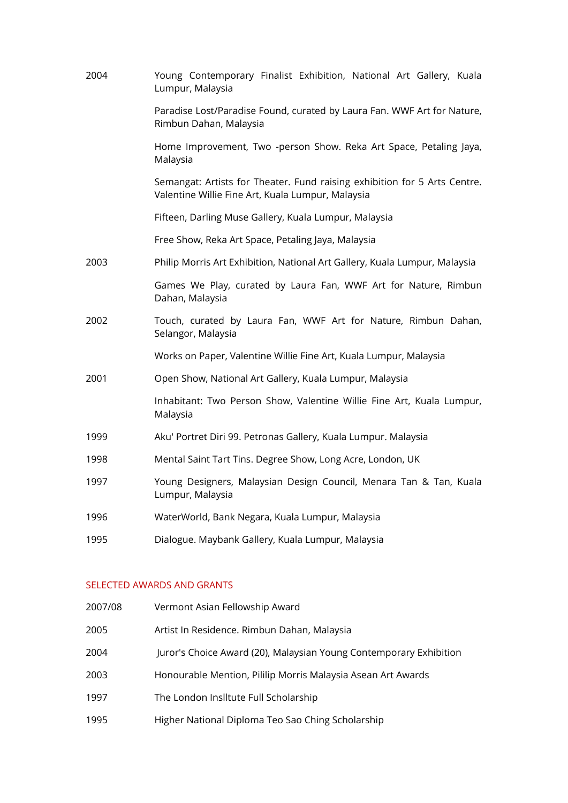| 2004 | Young Contemporary Finalist Exhibition, National Art Gallery, Kuala<br>Lumpur, Malaysia                                        |
|------|--------------------------------------------------------------------------------------------------------------------------------|
|      | Paradise Lost/Paradise Found, curated by Laura Fan. WWF Art for Nature,<br>Rimbun Dahan, Malaysia                              |
|      | Home Improvement, Two -person Show. Reka Art Space, Petaling Jaya,<br>Malaysia                                                 |
|      | Semangat: Artists for Theater. Fund raising exhibition for 5 Arts Centre.<br>Valentine Willie Fine Art, Kuala Lumpur, Malaysia |
|      | Fifteen, Darling Muse Gallery, Kuala Lumpur, Malaysia                                                                          |
|      | Free Show, Reka Art Space, Petaling Jaya, Malaysia                                                                             |
| 2003 | Philip Morris Art Exhibition, National Art Gallery, Kuala Lumpur, Malaysia                                                     |
|      | Games We Play, curated by Laura Fan, WWF Art for Nature, Rimbun<br>Dahan, Malaysia                                             |
| 2002 | Touch, curated by Laura Fan, WWF Art for Nature, Rimbun Dahan,<br>Selangor, Malaysia                                           |
|      | Works on Paper, Valentine Willie Fine Art, Kuala Lumpur, Malaysia                                                              |
| 2001 | Open Show, National Art Gallery, Kuala Lumpur, Malaysia                                                                        |
|      | Inhabitant: Two Person Show, Valentine Willie Fine Art, Kuala Lumpur,<br>Malaysia                                              |
| 1999 | Aku' Portret Diri 99. Petronas Gallery, Kuala Lumpur. Malaysia                                                                 |
| 1998 | Mental Saint Tart Tins. Degree Show, Long Acre, London, UK                                                                     |
| 1997 | Young Designers, Malaysian Design Council, Menara Tan & Tan, Kuala<br>Lumpur, Malaysia                                         |
| 1996 | WaterWorld, Bank Negara, Kuala Lumpur, Malaysia                                                                                |
| 1995 | Dialogue. Maybank Gallery, Kuala Lumpur, Malaysia                                                                              |

## SELECTED AWARDS AND GRANTS

| 2007/08 | Vermont Asian Fellowship Award                                     |
|---------|--------------------------------------------------------------------|
| 2005    | Artist In Residence. Rimbun Dahan, Malaysia                        |
| 2004    | Juror's Choice Award (20), Malaysian Young Contemporary Exhibition |
| 2003    | Honourable Mention, Pililip Morris Malaysia Asean Art Awards       |
| 1997    | The London Insiltute Full Scholarship                              |
| 1995    | Higher National Diploma Teo Sao Ching Scholarship                  |